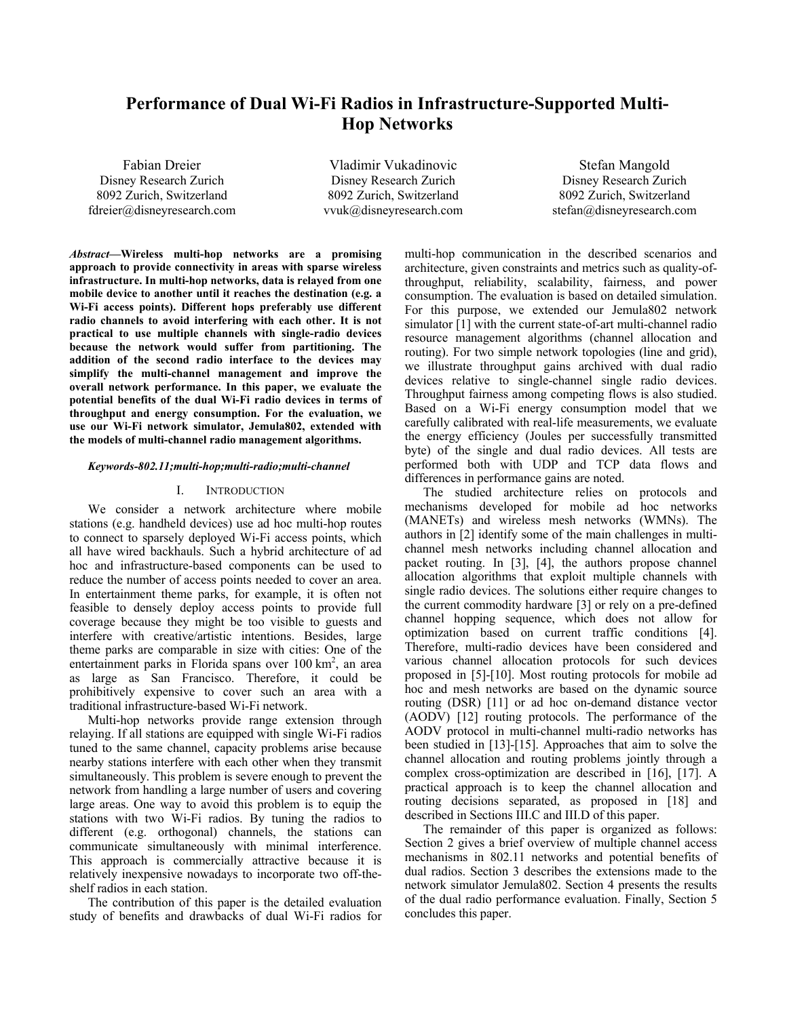# **Performance of Dual Wi-Fi Radios in Infrastructure-Supported Multi-Hop Networks**

Fabian Dreier Disney Research Zurich 8092 Zurich, Switzerland fdreier@disneyresearch.com

Vladimir Vukadinovic Disney Research Zurich 8092 Zurich, Switzerland vvuk@disneyresearch.com

Stefan Mangold Disney Research Zurich 8092 Zurich, Switzerland stefan@disneyresearch.com

*Abstract***—Wireless multi-hop networks are a promising approach to provide connectivity in areas with sparse wireless infrastructure. In multi-hop networks, data is relayed from one mobile device to another until it reaches the destination (e.g. a Wi-Fi access points). Different hops preferably use different radio channels to avoid interfering with each other. It is not practical to use multiple channels with single-radio devices because the network would suffer from partitioning. The addition of the second radio interface to the devices may simplify the multi-channel management and improve the overall network performance. In this paper, we evaluate the potential benefits of the dual Wi-Fi radio devices in terms of throughput and energy consumption. For the evaluation, we use our Wi-Fi network simulator, Jemula802, extended with the models of multi-channel radio management algorithms.** 

## *Keywords-802.11;multi-hop;multi-radio;multi-channel*

#### I. INTRODUCTION

We consider a network architecture where mobile stations (e.g. handheld devices) use ad hoc multi-hop routes to connect to sparsely deployed Wi-Fi access points, which all have wired backhauls. Such a hybrid architecture of ad hoc and infrastructure-based components can be used to reduce the number of access points needed to cover an area. In entertainment theme parks, for example, it is often not feasible to densely deploy access points to provide full coverage because they might be too visible to guests and interfere with creative/artistic intentions. Besides, large theme parks are comparable in size with cities: One of the entertainment parks in Florida spans over 100 km<sup>2</sup>, an area as large as San Francisco. Therefore, it could be prohibitively expensive to cover such an area with a traditional infrastructure-based Wi-Fi network.

Multi-hop networks provide range extension through relaying. If all stations are equipped with single Wi-Fi radios tuned to the same channel, capacity problems arise because nearby stations interfere with each other when they transmit simultaneously. This problem is severe enough to prevent the network from handling a large number of users and covering large areas. One way to avoid this problem is to equip the stations with two Wi-Fi radios. By tuning the radios to different (e.g. orthogonal) channels, the stations can communicate simultaneously with minimal interference. This approach is commercially attractive because it is relatively inexpensive nowadays to incorporate two off-theshelf radios in each station.

The contribution of this paper is the detailed evaluation study of benefits and drawbacks of dual Wi-Fi radios for multi-hop communication in the described scenarios and architecture, given constraints and metrics such as quality-ofthroughput, reliability, scalability, fairness, and power consumption. The evaluation is based on detailed simulation. For this purpose, we extended our Jemula802 network simulator [1] with the current state-of-art multi-channel radio resource management algorithms (channel allocation and routing). For two simple network topologies (line and grid), we illustrate throughput gains archived with dual radio devices relative to single-channel single radio devices. Throughput fairness among competing flows is also studied. Based on a Wi-Fi energy consumption model that we carefully calibrated with real-life measurements, we evaluate the energy efficiency (Joules per successfully transmitted byte) of the single and dual radio devices. All tests are performed both with UDP and TCP data flows and differences in performance gains are noted.

The studied architecture relies on protocols and mechanisms developed for mobile ad hoc networks (MANETs) and wireless mesh networks (WMNs). The authors in [2] identify some of the main challenges in multichannel mesh networks including channel allocation and packet routing. In [3], [4], the authors propose channel allocation algorithms that exploit multiple channels with single radio devices. The solutions either require changes to the current commodity hardware [3] or rely on a pre-defined channel hopping sequence, which does not allow for optimization based on current traffic conditions [4]. Therefore, multi-radio devices have been considered and various channel allocation protocols for such devices proposed in [5]-[10]. Most routing protocols for mobile ad hoc and mesh networks are based on the dynamic source routing (DSR) [11] or ad hoc on-demand distance vector (AODV) [12] routing protocols. The performance of the AODV protocol in multi-channel multi-radio networks has been studied in [13]-[15]. Approaches that aim to solve the channel allocation and routing problems jointly through a complex cross-optimization are described in [16], [17]. A practical approach is to keep the channel allocation and routing decisions separated, as proposed in [18] and described in Sections III.C and III.D of this paper.

The remainder of this paper is organized as follows: Section 2 gives a brief overview of multiple channel access mechanisms in 802.11 networks and potential benefits of dual radios. Section 3 describes the extensions made to the network simulator Jemula802. Section 4 presents the results of the dual radio performance evaluation. Finally, Section 5 concludes this paper.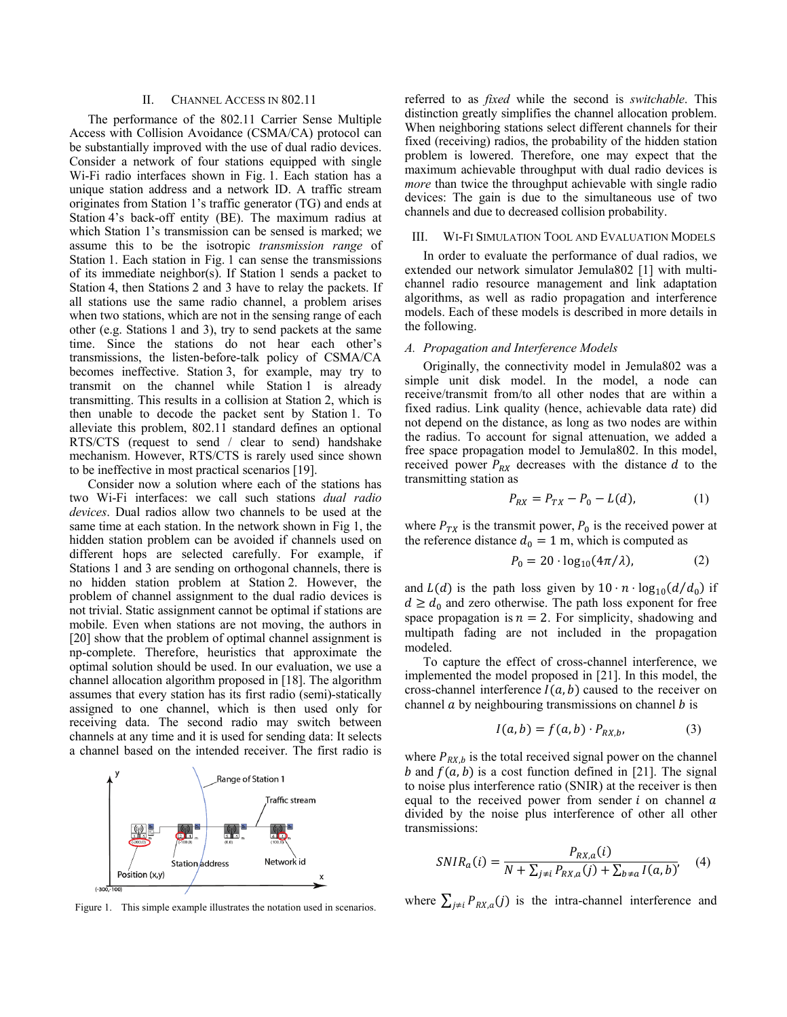# II. CHANNEL ACCESS IN 802.11

The performance of the 802.11 Carrier Sense Multiple Access with Collision Avoidance (CSMA/CA) protocol can be substantially improved with the use of dual radio devices. Consider a network of four stations equipped with single Wi-Fi radio interfaces shown in Fig. 1. Each station has a unique station address and a network ID. A traffic stream originates from Station 1's traffic generator (TG) and ends at Station 4's back-off entity (BE). The maximum radius at which Station 1's transmission can be sensed is marked; we assume this to be the isotropic *transmission range* of Station 1. Each station in Fig. 1 can sense the transmissions of its immediate neighbor(s). If Station 1 sends a packet to Station 4, then Stations 2 and 3 have to relay the packets. If all stations use the same radio channel, a problem arises when two stations, which are not in the sensing range of each other (e.g. Stations 1 and 3), try to send packets at the same time. Since the stations do not hear each other's transmissions, the listen-before-talk policy of CSMA/CA becomes ineffective. Station 3, for example, may try to transmit on the channel while Station 1 is already transmitting. This results in a collision at Station 2, which is then unable to decode the packet sent by Station 1. To alleviate this problem, 802.11 standard defines an optional RTS/CTS (request to send / clear to send) handshake mechanism. However, RTS/CTS is rarely used since shown to be ineffective in most practical scenarios [19].

Consider now a solution where each of the stations has two Wi-Fi interfaces: we call such stations *dual radio devices*. Dual radios allow two channels to be used at the same time at each station. In the network shown in Fig 1, the hidden station problem can be avoided if channels used on different hops are selected carefully. For example, if Stations 1 and 3 are sending on orthogonal channels, there is no hidden station problem at Station 2. However, the problem of channel assignment to the dual radio devices is not trivial. Static assignment cannot be optimal if stations are mobile. Even when stations are not moving, the authors in [20] show that the problem of optimal channel assignment is np-complete. Therefore, heuristics that approximate the optimal solution should be used. In our evaluation, we use a channel allocation algorithm proposed in [18]. The algorithm assumes that every station has its first radio (semi)-statically assigned to one channel, which is then used only for receiving data. The second radio may switch between channels at any time and it is used for sending data: It selects a channel based on the intended receiver. The first radio is



Figure 1. This simple example illustrates the notation used in scenarios.

referred to as *fixed* while the second is *switchable*. This distinction greatly simplifies the channel allocation problem. When neighboring stations select different channels for their fixed (receiving) radios, the probability of the hidden station problem is lowered. Therefore, one may expect that the maximum achievable throughput with dual radio devices is *more* than twice the throughput achievable with single radio devices: The gain is due to the simultaneous use of two channels and due to decreased collision probability.

#### III. WI-FI SIMULATION TOOL AND EVALUATION MODELS

In order to evaluate the performance of dual radios, we extended our network simulator Jemula802 [1] with multichannel radio resource management and link adaptation algorithms, as well as radio propagation and interference models. Each of these models is described in more details in the following.

## *A. Propagation and Interference Models*

Originally, the connectivity model in Jemula802 was a simple unit disk model. In the model, a node can receive/transmit from/to all other nodes that are within a fixed radius. Link quality (hence, achievable data rate) did not depend on the distance, as long as two nodes are within the radius. To account for signal attenuation, we added a free space propagation model to Jemula802. In this model, received power  $P_{RX}$  decreases with the distance  $d$  to the transmitting station as

$$
P_{RX} = P_{TX} - P_0 - L(d),
$$
 (1)

where  $P_{TX}$  is the transmit power,  $P_0$  is the received power at the reference distance  $d_0 = 1$  m, which is computed as

$$
P_0 = 20 \cdot \log_{10}(4\pi/\lambda), \tag{2}
$$

and  $L(d)$  is the path loss given by  $10 \cdot n \cdot \log_{10}(d/d_0)$  if  $d \geq d_0$  and zero otherwise. The path loss exponent for free space propagation is  $n = 2$ . For simplicity, shadowing and multipath fading are not included in the propagation modeled.

To capture the effect of cross-channel interference, we implemented the model proposed in [21]. In this model, the cross-channel interference  $I(a, b)$  caused to the receiver on channel  $\alpha$  by neighbouring transmissions on channel  $\beta$  is

$$
I(a,b) = f(a,b) \cdot P_{RX,b}, \qquad (3)
$$

where  $P_{RX,b}$  is the total received signal power on the channel b and  $f(a, b)$  is a cost function defined in [21]. The signal to noise plus interference ratio (SNIR) at the receiver is then equal to the received power from sender  $i$  on channel  $\alpha$ divided by the noise plus interference of other all other transmissions:

$$
SNIR_a(i) = \frac{P_{RX,a}(i)}{N + \sum_{j \neq i} P_{RX,a}(j) + \sum_{b \neq a} I(a,b)},
$$
 (4)

where  $\sum_{j\neq i} P_{RX,a}(j)$  is the intra-channel interference and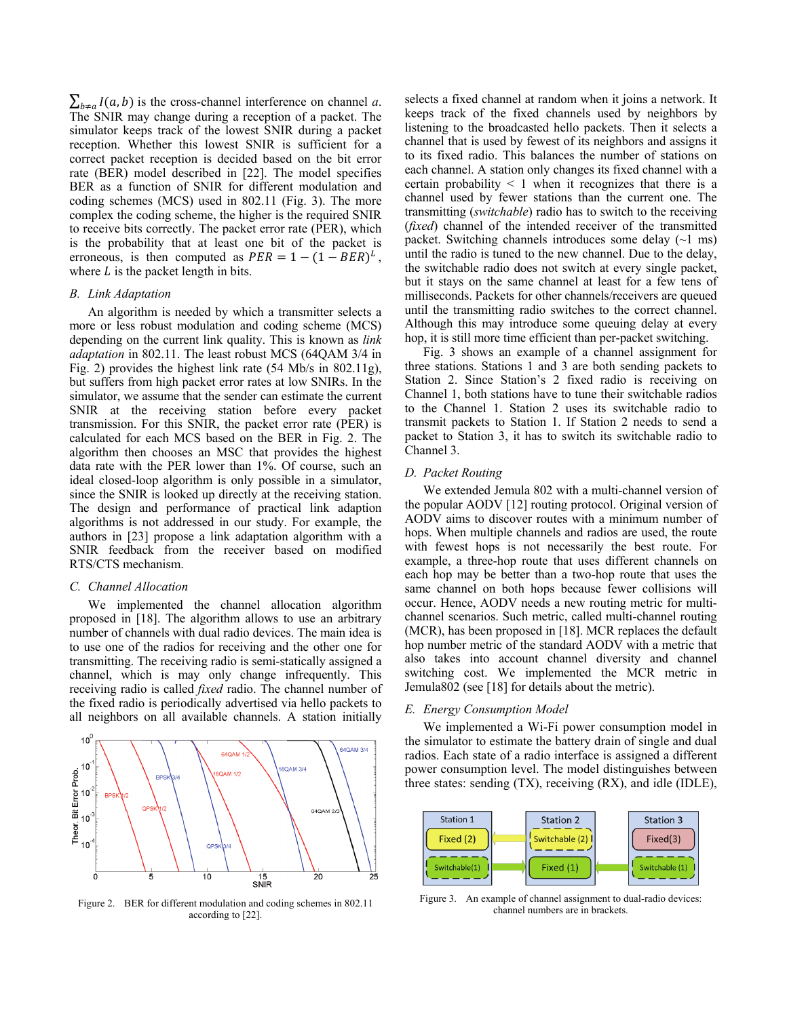$\sum_{b \neq a} I(a, b)$  is the cross-channel interference on channel *a*. The SNIR may change during a reception of a packet. The simulator keeps track of the lowest SNIR during a packet reception. Whether this lowest SNIR is sufficient for a correct packet reception is decided based on the bit error rate (BER) model described in [22]. The model specifies BER as a function of SNIR for different modulation and coding schemes (MCS) used in 802.11 (Fig. 3). The more complex the coding scheme, the higher is the required SNIR to receive bits correctly. The packet error rate (PER), which is the probability that at least one bit of the packet is erroneous, is then computed as  $PER = 1 - (1 - BER)^L$ , where  $L$  is the packet length in bits.

# *B. Link Adaptation*

An algorithm is needed by which a transmitter selects a more or less robust modulation and coding scheme (MCS) depending on the current link quality. This is known as *link adaptation* in 802.11. The least robust MCS (64QAM 3/4 in Fig. 2) provides the highest link rate (54 Mb/s in 802.11g), but suffers from high packet error rates at low SNIRs. In the simulator, we assume that the sender can estimate the current SNIR at the receiving station before every packet transmission. For this SNIR, the packet error rate (PER) is calculated for each MCS based on the BER in Fig. 2. The algorithm then chooses an MSC that provides the highest data rate with the PER lower than 1%. Of course, such an ideal closed-loop algorithm is only possible in a simulator, since the SNIR is looked up directly at the receiving station. The design and performance of practical link adaption algorithms is not addressed in our study. For example, the authors in [23] propose a link adaptation algorithm with a SNIR feedback from the receiver based on modified RTS/CTS mechanism.

# *C. Channel Allocation*

We implemented the channel allocation algorithm proposed in [18]. The algorithm allows to use an arbitrary number of channels with dual radio devices. The main idea is to use one of the radios for receiving and the other one for transmitting. The receiving radio is semi-statically assigned a channel, which is may only change infrequently. This receiving radio is called *fixed* radio. The channel number of the fixed radio is periodically advertised via hello packets to all neighbors on all available channels. A station initially



Figure 2. BER for different modulation and coding schemes in 802.11 according to [22].

selects a fixed channel at random when it joins a network. It keeps track of the fixed channels used by neighbors by listening to the broadcasted hello packets. Then it selects a channel that is used by fewest of its neighbors and assigns it to its fixed radio. This balances the number of stations on each channel. A station only changes its fixed channel with a certain probability  $\leq 1$  when it recognizes that there is a channel used by fewer stations than the current one. The transmitting (*switchable*) radio has to switch to the receiving (*fixed*) channel of the intended receiver of the transmitted packet. Switching channels introduces some delay  $(\sim 1 \text{ ms})$ until the radio is tuned to the new channel. Due to the delay, the switchable radio does not switch at every single packet, but it stays on the same channel at least for a few tens of milliseconds. Packets for other channels/receivers are queued until the transmitting radio switches to the correct channel. Although this may introduce some queuing delay at every hop, it is still more time efficient than per-packet switching.

Fig. 3 shows an example of a channel assignment for three stations. Stations 1 and 3 are both sending packets to Station 2. Since Station's 2 fixed radio is receiving on Channel 1, both stations have to tune their switchable radios to the Channel 1. Station 2 uses its switchable radio to transmit packets to Station 1. If Station 2 needs to send a packet to Station 3, it has to switch its switchable radio to Channel 3.

# *D. Packet Routing*

We extended Jemula 802 with a multi-channel version of the popular AODV [12] routing protocol. Original version of AODV aims to discover routes with a minimum number of hops. When multiple channels and radios are used, the route with fewest hops is not necessarily the best route. For example, a three-hop route that uses different channels on each hop may be better than a two-hop route that uses the same channel on both hops because fewer collisions will occur. Hence, AODV needs a new routing metric for multichannel scenarios. Such metric, called multi-channel routing (MCR), has been proposed in [18]. MCR replaces the default hop number metric of the standard AODV with a metric that also takes into account channel diversity and channel switching cost. We implemented the MCR metric in Jemula802 (see [18] for details about the metric).

## *E. Energy Consumption Model*

We implemented a Wi-Fi power consumption model in the simulator to estimate the battery drain of single and dual radios. Each state of a radio interface is assigned a different power consumption level. The model distinguishes between three states: sending (TX), receiving (RX), and idle (IDLE),



Figure 3. An example of channel assignment to dual-radio devices: channel numbers are in brackets.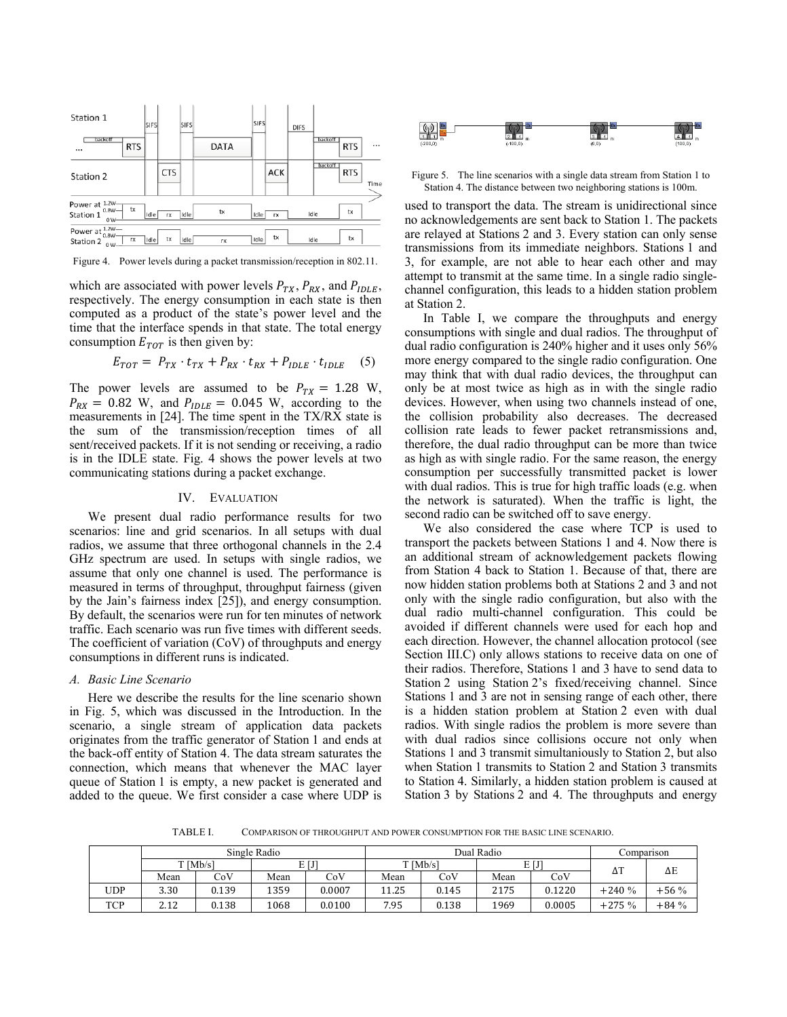

Figure 4. Power levels during a packet transmission/reception in 802.11.

which are associated with power levels  $P_{TX}$ ,  $P_{RX}$ , and  $P_{IDLE}$ , respectively. The energy consumption in each state is then computed as a product of the state's power level and the time that the interface spends in that state. The total energy consumption  $E_{TOT}$  is then given by:

$$
E_{TOT} = P_{TX} \cdot t_{TX} + P_{RX} \cdot t_{RX} + P_{IDLE} \cdot t_{IDLE} \quad (5)
$$

The power levels are assumed to be  $P_{TX} = 1.28$  W,  $P_{RX} = 0.82$  W, and  $P_{IDLE} = 0.045$  W, according to the measurements in [24]. The time spent in the TX/RX state is the sum of the transmission/reception times of all sent/received packets. If it is not sending or receiving, a radio is in the IDLE state. Fig. 4 shows the power levels at two communicating stations during a packet exchange.

## IV. EVALUATION

We present dual radio performance results for two scenarios: line and grid scenarios. In all setups with dual radios, we assume that three orthogonal channels in the 2.4 GHz spectrum are used. In setups with single radios, we assume that only one channel is used. The performance is measured in terms of throughput, throughput fairness (given by the Jain's fairness index [25]), and energy consumption. By default, the scenarios were run for ten minutes of network traffic. Each scenario was run five times with different seeds. The coefficient of variation (CoV) of throughputs and energy consumptions in different runs is indicated.

#### *A. Basic Line Scenario*

Here we describe the results for the line scenario shown in Fig. 5, which was discussed in the Introduction. In the scenario, a single stream of application data packets originates from the traffic generator of Station 1 and ends at the back-off entity of Station 4. The data stream saturates the connection, which means that whenever the MAC layer queue of Station 1 is empty, a new packet is generated and added to the queue. We first consider a case where UDP is



Figure 5. The line scenarios with a single data stream from Station 1 to Station 4. The distance between two neighboring stations is 100m.

used to transport the data. The stream is unidirectional since no acknowledgements are sent back to Station 1. The packets are relayed at Stations 2 and 3. Every station can only sense transmissions from its immediate neighbors. Stations 1 and 3, for example, are not able to hear each other and may attempt to transmit at the same time. In a single radio singlechannel configuration, this leads to a hidden station problem at Station 2.

In Table I, we compare the throughputs and energy consumptions with single and dual radios. The throughput of dual radio configuration is 240% higher and it uses only 56% more energy compared to the single radio configuration. One may think that with dual radio devices, the throughput can only be at most twice as high as in with the single radio devices. However, when using two channels instead of one, the collision probability also decreases. The decreased collision rate leads to fewer packet retransmissions and, therefore, the dual radio throughput can be more than twice as high as with single radio. For the same reason, the energy consumption per successfully transmitted packet is lower with dual radios. This is true for high traffic loads (e.g. when the network is saturated). When the traffic is light, the second radio can be switched off to save energy.

We also considered the case where TCP is used to transport the packets between Stations 1 and 4. Now there is an additional stream of acknowledgement packets flowing from Station 4 back to Station 1. Because of that, there are now hidden station problems both at Stations 2 and 3 and not only with the single radio configuration, but also with the dual radio multi-channel configuration. This could be avoided if different channels were used for each hop and each direction. However, the channel allocation protocol (see Section III.C) only allows stations to receive data on one of their radios. Therefore, Stations 1 and 3 have to send data to Station 2 using Station 2's fixed/receiving channel. Since Stations 1 and 3 are not in sensing range of each other, there is a hidden station problem at Station 2 even with dual radios. With single radios the problem is more severe than with dual radios since collisions occure not only when Stations 1 and 3 transmit simultaniously to Station 2, but also when Station 1 transmits to Station 2 and Station 3 transmits to Station 4. Similarly, a hidden station problem is caused at Station 3 by Stations 2 and 4. The throughputs and energy

TABLE I. COMPARISON OF THROUGHPUT AND POWER CONSUMPTION FOR THE BASIC LINE SCENARIO.

|            |            |       | Single Radio |        |            | Dual Radio | Comparison |        |            |            |
|------------|------------|-------|--------------|--------|------------|------------|------------|--------|------------|------------|
|            | $T$ [Mb/s] |       | ЕIJ<br>∸     |        | $T$ [Mb/s] |            |            | E[J]   | $\Delta T$ | $\Delta E$ |
|            | Mean       | CoV   | Mean         | CoV    | Mean       | CoV        | Mean       | CoV    |            |            |
| <b>UDP</b> | 3.30       | 0.139 | 1359         | 0.0007 | 11.25      | 0.145      | 2175       | 0.1220 | $+240%$    | $+56%$     |
| <b>TCP</b> | 2.12       | 0.138 | 1068         | 0.0100 | 7.95       | 0.138      | 1969       | 0.0005 | $+275%$    | $+84%$     |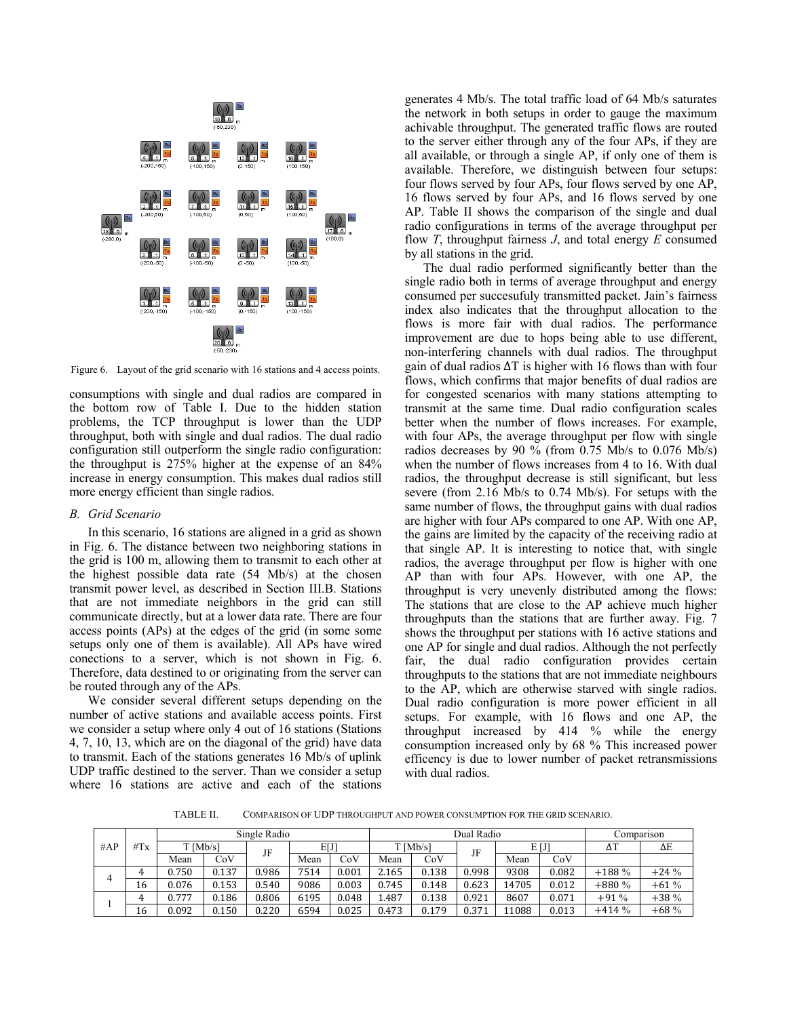

Figure 6. Layout of the grid scenario with 16 stations and 4 access points.

consumptions with single and dual radios are compared in the bottom row of Table I. Due to the hidden station problems, the TCP throughput is lower than the UDP throughput, both with single and dual radios. The dual radio configuration still outperform the single radio configuration: the throughput is 275% higher at the expense of an 84% increase in energy consumption. This makes dual radios still more energy efficient than single radios.

#### *B. Grid Scenario*

In this scenario, 16 stations are aligned in a grid as shown in Fig. 6. The distance between two neighboring stations in the grid is 100 m, allowing them to transmit to each other at the highest possible data rate (54 Mb/s) at the chosen transmit power level, as described in Section III.B. Stations that are not immediate neighbors in the grid can still communicate directly, but at a lower data rate. There are four access points (APs) at the edges of the grid (in some some setups only one of them is available). All APs have wired conections to a server, which is not shown in Fig. 6. Therefore, data destined to or originating from the server can be routed through any of the APs.

We consider several different setups depending on the number of active stations and available access points. First we consider a setup where only 4 out of 16 stations (Stations 4, 7, 10, 13, which are on the diagonal of the grid) have data to transmit. Each of the stations generates 16 Mb/s of uplink UDP traffic destined to the server. Than we consider a setup where 16 stations are active and each of the stations generates 4 Mb/s. The total traffic load of 64 Mb/s saturates the network in both setups in order to gauge the maximum achivable throughput. The generated traffic flows are routed to the server either through any of the four APs, if they are all available, or through a single AP, if only one of them is available. Therefore, we distinguish between four setups: four flows served by four APs, four flows served by one AP, 16 flows served by four APs, and 16 flows served by one AP. Table II shows the comparison of the single and dual radio configurations in terms of the average throughput per flow *T*, throughput fairness *J*, and total energy *E* consumed by all stations in the grid.

The dual radio performed significantly better than the single radio both in terms of average throughput and energy consumed per succesufuly transmitted packet. Jain's fairness index also indicates that the throughput allocation to the flows is more fair with dual radios. The performance improvement are due to hops being able to use different, non-interfering channels with dual radios. The throughput gain of dual radios  $\Delta T$  is higher with 16 flows than with four flows, which confirms that major benefits of dual radios are for congested scenarios with many stations attempting to transmit at the same time. Dual radio configuration scales better when the number of flows increases. For example, with four APs, the average throughput per flow with single radios decreases by 90 % (from 0.75 Mb/s to 0.076 Mb/s) when the number of flows increases from 4 to 16. With dual radios, the throughput decrease is still significant, but less severe (from 2.16 Mb/s to 0.74 Mb/s). For setups with the same number of flows, the throughput gains with dual radios are higher with four APs compared to one AP. With one AP, the gains are limited by the capacity of the receiving radio at that single AP. It is interesting to notice that, with single radios, the average throughput per flow is higher with one AP than with four APs. However, with one AP, the throughput is very unevenly distributed among the flows: The stations that are close to the AP achieve much higher throughputs than the stations that are further away. Fig. 7 shows the throughput per stations with 16 active stations and one AP for single and dual radios. Although the not perfectly fair, the dual radio configuration provides certain throughputs to the stations that are not immediate neighbours to the AP, which are otherwise starved with single radios. Dual radio configuration is more power efficient in all setups. For example, with 16 flows and one AP, the throughput increased by 414 % while the energy consumption increased only by 68 % This increased power efficency is due to lower number of packet retransmissions with dual radios.

TABLE II. COMPARISON OF UDP THROUGHPUT AND POWER CONSUMPTION FOR THE GRID SCENARIO.

| $\#AP$ | $\#Tx$ |            | Single Radio |       |      | Dual Radio | Comparison |            |       |       |       |            |        |
|--------|--------|------------|--------------|-------|------|------------|------------|------------|-------|-------|-------|------------|--------|
|        |        | $T$ [Mb/s] |              | JF    |      | E[J]       |            | $T$ [Mb/s] |       | E[J]  |       | $\Delta T$ | ΔΕ     |
|        |        | Mean       | CoV          |       | Mean | CoV        | Mean       | CoV        | JF    | Mean  | CoV   |            |        |
| 4      | 4      | 0.750      | 0.137        | 0.986 | 7514 | 0.001      | 2.165      | 0.138      | 0.998 | 9308  | 0.082 | $+188%$    | $+24%$ |
|        | 16     | 0.076      | 0.153        | 0.540 | 9086 | 0.003      | 0.745      | 0.148      | 0.623 | 14705 | 0.012 | $+880%$    | $+61%$ |
|        | 4      | 0.777      | 0.186        | 0.806 | 6195 | 0.048      | 1.487      | 0.138      | 0.921 | 8607  | 0.071 | $+91%$     | $+38%$ |
|        | 16     | 0.092      | 0.150        | 0.220 | 6594 | 0.025      | 0.473      | 0.179      | 0.371 | 11088 | 0.013 | $+414%$    | $+68%$ |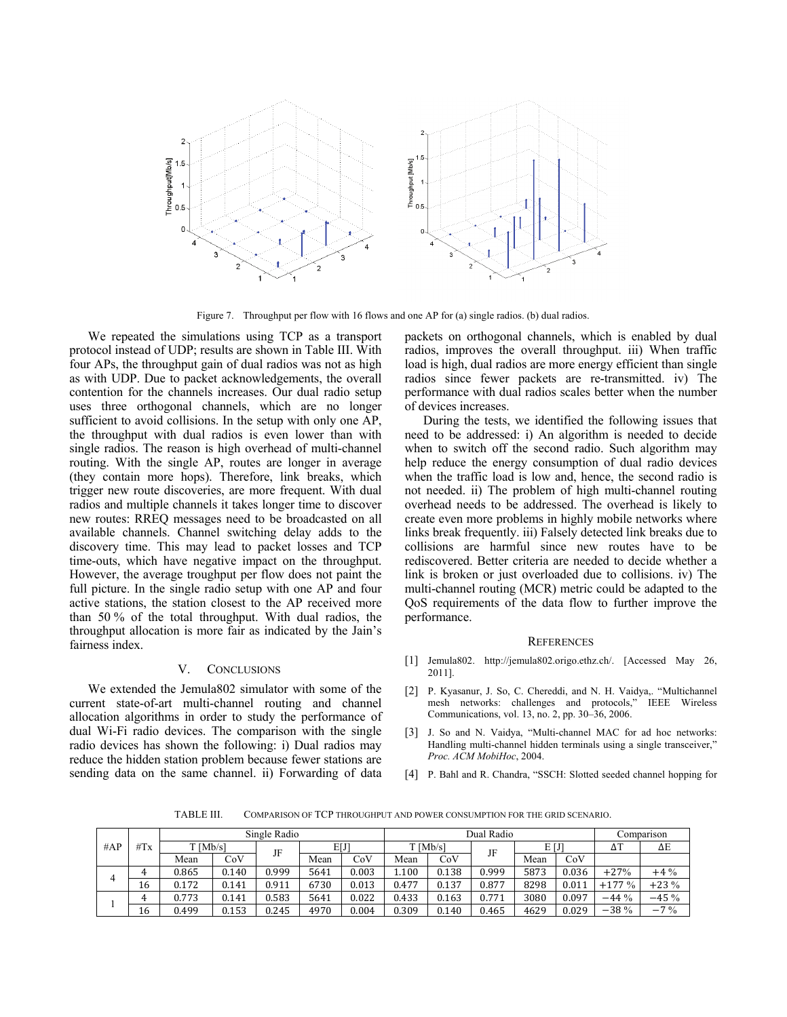

Figure 7. Throughput per flow with 16 flows and one AP for (a) single radios. (b) dual radios.

We repeated the simulations using TCP as a transport protocol instead of UDP; results are shown in Table III. With four APs, the throughput gain of dual radios was not as high as with UDP. Due to packet acknowledgements, the overall contention for the channels increases. Our dual radio setup uses three orthogonal channels, which are no longer sufficient to avoid collisions. In the setup with only one AP, the throughput with dual radios is even lower than with single radios. The reason is high overhead of multi-channel routing. With the single AP, routes are longer in average (they contain more hops). Therefore, link breaks, which trigger new route discoveries, are more frequent. With dual radios and multiple channels it takes longer time to discover new routes: RREQ messages need to be broadcasted on all available channels. Channel switching delay adds to the discovery time. This may lead to packet losses and TCP time-outs, which have negative impact on the throughput. However, the average troughput per flow does not paint the full picture. In the single radio setup with one AP and four active stations, the station closest to the AP received more than 50 % of the total throughput. With dual radios, the throughput allocation is more fair as indicated by the Jain's fairness index.

## V. CONCLUSIONS

We extended the Jemula802 simulator with some of the current state-of-art multi-channel routing and channel allocation algorithms in order to study the performance of dual Wi-Fi radio devices. The comparison with the single radio devices has shown the following: i) Dual radios may reduce the hidden station problem because fewer stations are sending data on the same channel. ii) Forwarding of data packets on orthogonal channels, which is enabled by dual radios, improves the overall throughput. iii) When traffic load is high, dual radios are more energy efficient than single radios since fewer packets are re-transmitted. iv) The performance with dual radios scales better when the number of devices increases.

During the tests, we identified the following issues that need to be addressed: i) An algorithm is needed to decide when to switch off the second radio. Such algorithm may help reduce the energy consumption of dual radio devices when the traffic load is low and, hence, the second radio is not needed. ii) The problem of high multi-channel routing overhead needs to be addressed. The overhead is likely to create even more problems in highly mobile networks where links break frequently. iii) Falsely detected link breaks due to collisions are harmful since new routes have to be rediscovered. Better criteria are needed to decide whether a link is broken or just overloaded due to collisions. iv) The multi-channel routing (MCR) metric could be adapted to the QoS requirements of the data flow to further improve the performance.

## **REFERENCES**

- [1] Jemula802. http://jemula802.origo.ethz.ch/. [Accessed May 26, 2011].
- [2] P. Kyasanur, J. So, C. Chereddi, and N. H. Vaidya,. "Multichannel mesh networks: challenges and protocols," Communications, vol. 13, no. 2, pp. 30–36, 2006.
- [3] J. So and N. Vaidya, "Multi-channel MAC for ad hoc networks: Handling multi-channel hidden terminals using a single transceiver," *Proc. ACM MobiHoc*, 2004.
- [4] P. Bahl and R. Chandra, "SSCH: Slotted seeded channel hopping for

TABLE III. COMPARISON OF TCP THROUGHPUT AND POWER CONSUMPTION FOR THE GRID SCENARIO.

| $\#AP$ | $\#Tx$ |            |       | Dual Radio | Comparison |       |            |       |       |          |       |            |            |
|--------|--------|------------|-------|------------|------------|-------|------------|-------|-------|----------|-------|------------|------------|
|        |        | $T$ [Mb/s] |       | JF         | ЕIJ        |       | $T$ [Mb/s] |       | JF    | $E[\Pi]$ |       | $\Delta T$ | $\Delta E$ |
|        |        | Mean       | CoV   |            | Mean       | CoV   | Mean       | CoV   |       | Mean     | CoV   |            |            |
| 4      | 4      | 0.865      | 0.140 | 0.999      | 5641       | 0.003 | 1.100      | 0.138 | 0.999 | 5873     | 0.036 | $+27%$     | $+4\%$     |
|        | 16     | 0.172      | 0.141 | 0.911      | 6730       | 0.013 | 0.477      | 0.137 | 0.877 | 8298     | 0.011 | $+177%$    | $+23\%$    |
|        | 4      | 0.773      | 0.141 | 0.583      | 5641       | 0.022 | 0.433      | 0.163 | 0.771 | 3080     | 0.097 | $-44\%$    | $-45%$     |
|        | 16     | 0.499      | 0.153 | 0.245      | 4970       | 0.004 | 0.309      | 0.140 | 0.465 | 4629     | 0.029 | $-38%$     | $-7\%$     |